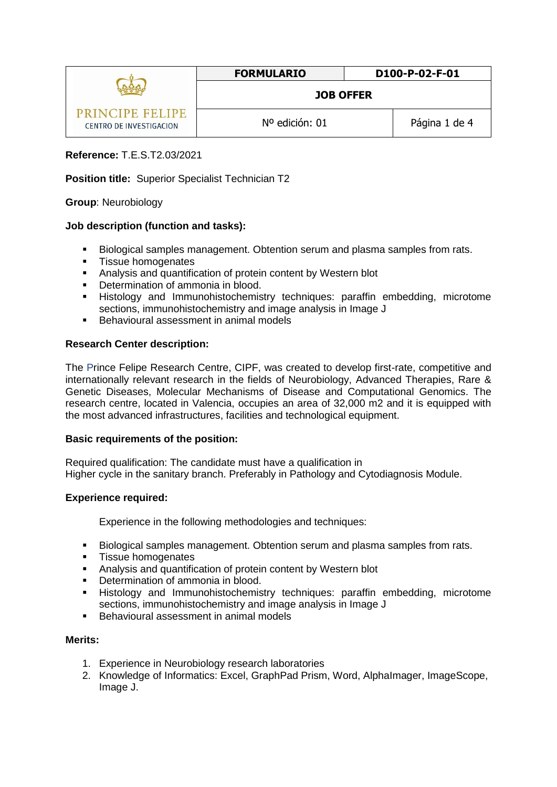|                                            | <b>FORMULARIO</b> | D100-P-02-F-01 |
|--------------------------------------------|-------------------|----------------|
|                                            | <b>JOB OFFER</b>  |                |
| PRINCIPE FELIPE<br>CENTRO DE INVESTIGACION | Nº edición: 01    | Página 1 de 4  |

# **Reference:** T.E.S.T2.03/2021

### **Position title:** Superior Specialist Technician T2

### **Group**: Neurobiology

### **Job description (function and tasks):**

- Biological samples management. Obtention serum and plasma samples from rats.
- **Tissue homogenates**
- Analysis and quantification of protein content by Western blot
- **•** Determination of ammonia in blood.
- **Histology and Immunohistochemistry techniques: paraffin embedding, microtome** sections, immunohistochemistry and image analysis in Image J
- **Behavioural assessment in animal models**

### **Research Center description:**

The Prince Felipe Research Centre, CIPF, was created to develop first-rate, competitive and internationally relevant research in the fields of Neurobiology, Advanced Therapies, Rare & Genetic Diseases, Molecular Mechanisms of Disease and Computational Genomics. The research centre, located in Valencia, occupies an area of 32,000 m2 and it is equipped with the most advanced infrastructures, facilities and technological equipment.

### **Basic requirements of the position:**

Required qualification: The candidate must have a qualification in Higher cycle in the sanitary branch. Preferably in Pathology and Cytodiagnosis Module.

### **Experience required:**

Experience in the following methodologies and techniques:

- Biological samples management. Obtention serum and plasma samples from rats.
- **Tissue homogenates**
- Analysis and quantification of protein content by Western blot
- **•** Determination of ammonia in blood.
- Histology and Immunohistochemistry techniques: paraffin embedding, microtome sections, immunohistochemistry and image analysis in Image J
- Behavioural assessment in animal models

### **Merits:**

- 1. Experience in Neurobiology research laboratories
- 2. Knowledge of Informatics: Excel, GraphPad Prism, Word, AlphaImager, ImageScope, Image J.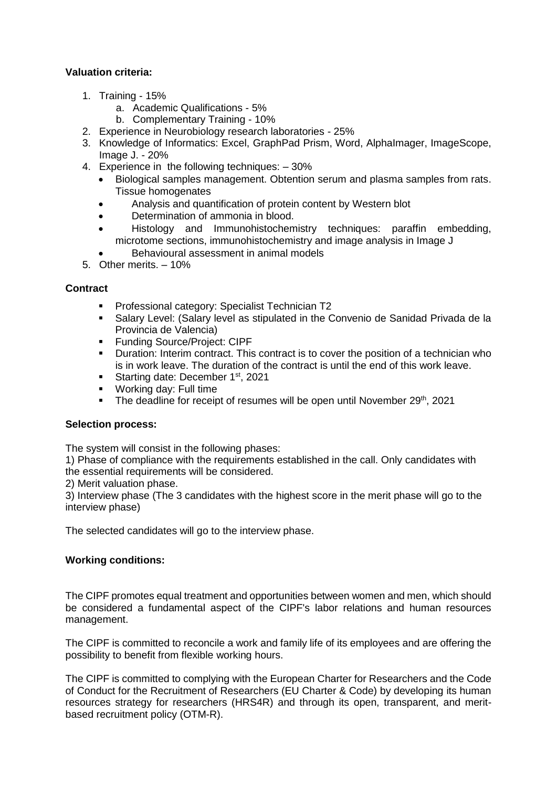## **Valuation criteria:**

- 1. Training 15%
	- a. Academic Qualifications 5%
	- b. Complementary Training 10%
- 2. Experience in Neurobiology research laboratories 25%
- 3. Knowledge of Informatics: Excel, GraphPad Prism, Word, AlphaImager, ImageScope, Image J. - 20%
- 4. Experience in the following techniques: 30%
	- Biological samples management. Obtention serum and plasma samples from rats. Tissue homogenates
	- Analysis and quantification of protein content by Western blot
	- Determination of ammonia in blood.
	- Histology and Immunohistochemistry techniques: paraffin embedding, microtome sections, immunohistochemistry and image analysis in Image J
	- Behavioural assessment in animal models
- 5. Other merits. 10%

### **Contract**

- **Professional category: Specialist Technician T2**
- Salary Level: (Salary level as stipulated in the Convenio de Sanidad Privada de la Provincia de Valencia)
- **Funding Source/Project: CIPF**
- **Duration: Interim contract. This contract is to cover the position of a technician who** is in work leave. The duration of the contract is until the end of this work leave.
- Starting date: December 1<sup>st</sup>, 2021
- **Working day: Full time**
- The deadline for receipt of resumes will be open until November 29<sup>th</sup>, 2021

### **Selection process:**

The system will consist in the following phases:

1) Phase of compliance with the requirements established in the call. Only candidates with the essential requirements will be considered.

2) Merit valuation phase.

3) Interview phase (The 3 candidates with the highest score in the merit phase will go to the interview phase)

The selected candidates will go to the interview phase.

## **Working conditions:**

The CIPF promotes equal treatment and opportunities between women and men, which should be considered a fundamental aspect of the CIPF's labor relations and human resources management.

The CIPF is committed to reconcile a work and family life of its employees and are offering the possibility to benefit from flexible working hours.

The CIPF is committed to complying with the European Charter for Researchers and the Code of Conduct for the Recruitment of Researchers (EU Charter & Code) by developing its human resources strategy for researchers (HRS4R) and through its open, transparent, and meritbased recruitment policy [\(OTM-R\)](https://euraxess.ec.europa.eu/europe/news/new-open-transparent-and-merit-based-recruitment-researchers-otm-r).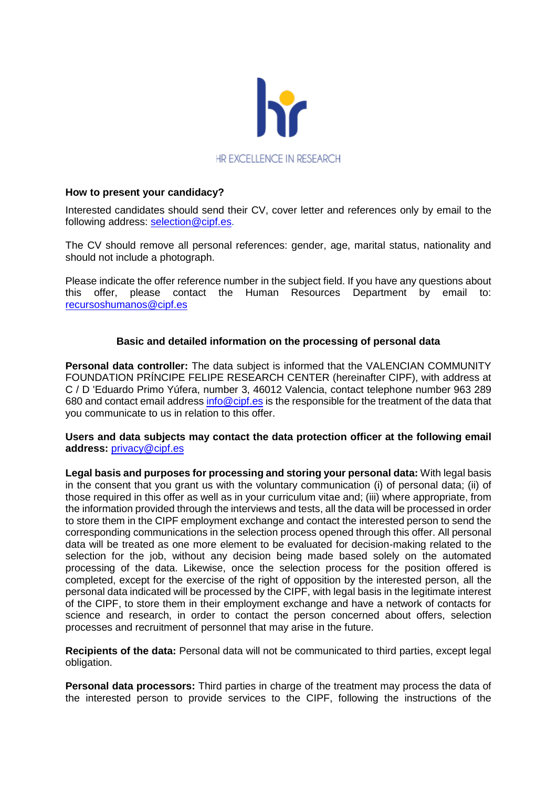

### **How to present your candidacy?**

Interested candidates should send their CV, cover letter and references only by email to the following address: [selection@cipf.es.](mailto:selection@cipf.es)

The CV should remove all personal references: gender, age, marital status, nationality and should not include a photograph.

Please indicate the offer reference number in the subject field. If you have any questions about this offer, please contact the Human Resources Department by email to: [recursoshumanos@cipf.es](mailto:recursoshumanos@cipf.es)

## **Basic and detailed information on the processing of personal data**

**Personal data controller:** The data subject is informed that the VALENCIAN COMMUNITY FOUNDATION PRÍNCIPE FELIPE RESEARCH CENTER (hereinafter CIPF), with address at C / D 'Eduardo Primo Yúfera, number 3, 46012 Valencia, contact telephone number 963 289 680 and contact email address info $@$ cipf.es is the responsible for the treatment of the data that you communicate to us in relation to this offer.

#### **Users and data subjects may contact the data protection officer at the following email address:** [privacy@cipf.es](mailto:privacy@cipf.es)

**Legal basis and purposes for processing and storing your personal data:** With legal basis in the consent that you grant us with the voluntary communication (i) of personal data; (ii) of those required in this offer as well as in your curriculum vitae and; (iii) where appropriate, from the information provided through the interviews and tests, all the data will be processed in order to store them in the CIPF employment exchange and contact the interested person to send the corresponding communications in the selection process opened through this offer. All personal data will be treated as one more element to be evaluated for decision-making related to the selection for the job, without any decision being made based solely on the automated processing of the data. Likewise, once the selection process for the position offered is completed, except for the exercise of the right of opposition by the interested person, all the personal data indicated will be processed by the CIPF, with legal basis in the legitimate interest of the CIPF, to store them in their employment exchange and have a network of contacts for science and research, in order to contact the person concerned about offers, selection processes and recruitment of personnel that may arise in the future.

**Recipients of the data:** Personal data will not be communicated to third parties, except legal obligation.

**Personal data processors:** Third parties in charge of the treatment may process the data of the interested person to provide services to the CIPF, following the instructions of the